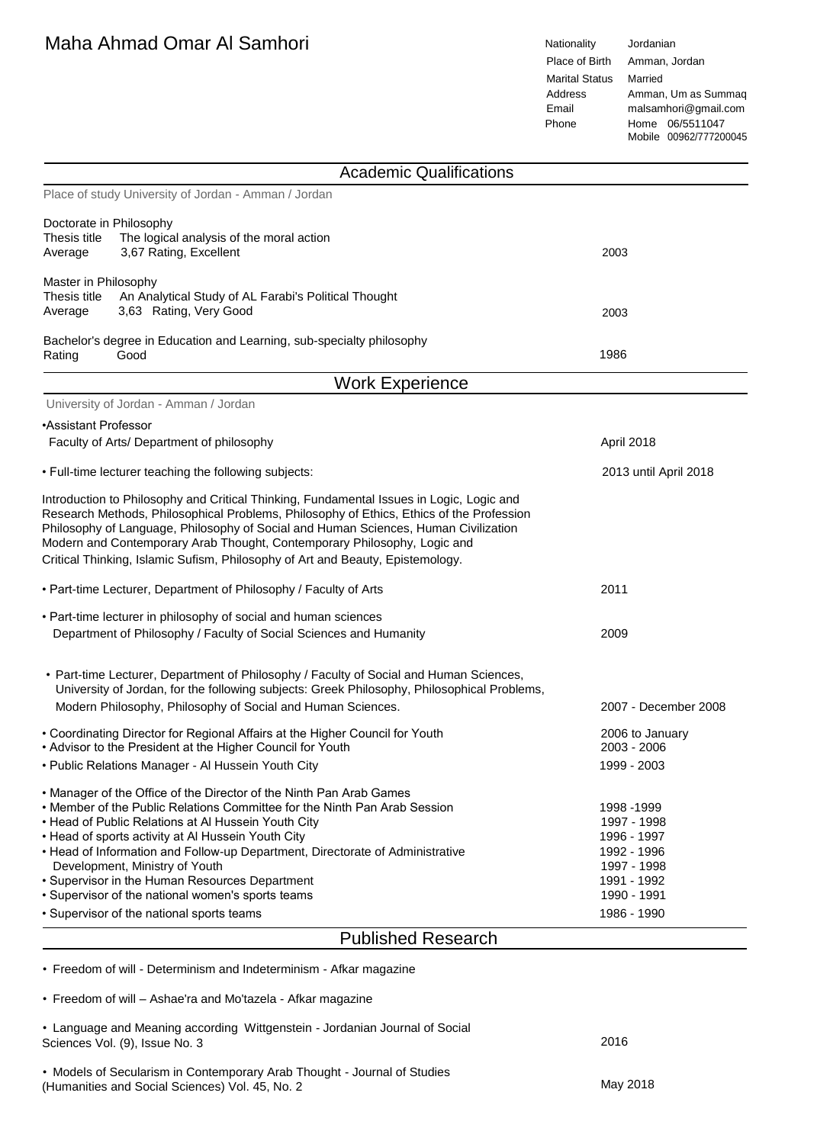| Maha Ahmad Omar Al Samhori<br>Jordanian<br>Nationality |
|--------------------------------------------------------|
|--------------------------------------------------------|

Place of Birth Amman, Jordan Marital Status Married Address Amman, Um as Summaq<br>
Email malsamhori@gmail.com malsamhori@gmail.com Phone Home 06/5511047 Mobile 00962/777200045

| <b>Academic Qualifications</b>                                                                                                                                                                                                                                                                                                                                                                                                                                                                                                       |                                                                                                                      |  |
|--------------------------------------------------------------------------------------------------------------------------------------------------------------------------------------------------------------------------------------------------------------------------------------------------------------------------------------------------------------------------------------------------------------------------------------------------------------------------------------------------------------------------------------|----------------------------------------------------------------------------------------------------------------------|--|
| Place of study University of Jordan - Amman / Jordan                                                                                                                                                                                                                                                                                                                                                                                                                                                                                 |                                                                                                                      |  |
| Doctorate in Philosophy                                                                                                                                                                                                                                                                                                                                                                                                                                                                                                              |                                                                                                                      |  |
| The logical analysis of the moral action<br>Thesis title                                                                                                                                                                                                                                                                                                                                                                                                                                                                             |                                                                                                                      |  |
| 3,67 Rating, Excellent<br>Average                                                                                                                                                                                                                                                                                                                                                                                                                                                                                                    | 2003                                                                                                                 |  |
| Master in Philosophy                                                                                                                                                                                                                                                                                                                                                                                                                                                                                                                 |                                                                                                                      |  |
| Thesis title<br>An Analytical Study of AL Farabi's Political Thought                                                                                                                                                                                                                                                                                                                                                                                                                                                                 |                                                                                                                      |  |
| 3,63 Rating, Very Good<br>Average                                                                                                                                                                                                                                                                                                                                                                                                                                                                                                    | 2003                                                                                                                 |  |
| Bachelor's degree in Education and Learning, sub-specialty philosophy                                                                                                                                                                                                                                                                                                                                                                                                                                                                |                                                                                                                      |  |
| Good<br>Rating                                                                                                                                                                                                                                                                                                                                                                                                                                                                                                                       | 1986                                                                                                                 |  |
| <b>Work Experience</b>                                                                                                                                                                                                                                                                                                                                                                                                                                                                                                               |                                                                                                                      |  |
| University of Jordan - Amman / Jordan                                                                                                                                                                                                                                                                                                                                                                                                                                                                                                |                                                                                                                      |  |
| •Assistant Professor                                                                                                                                                                                                                                                                                                                                                                                                                                                                                                                 |                                                                                                                      |  |
| Faculty of Arts/ Department of philosophy                                                                                                                                                                                                                                                                                                                                                                                                                                                                                            | April 2018                                                                                                           |  |
| . Full-time lecturer teaching the following subjects:                                                                                                                                                                                                                                                                                                                                                                                                                                                                                | 2013 until April 2018                                                                                                |  |
| Introduction to Philosophy and Critical Thinking, Fundamental Issues in Logic, Logic and<br>Research Methods, Philosophical Problems, Philosophy of Ethics, Ethics of the Profession<br>Philosophy of Language, Philosophy of Social and Human Sciences, Human Civilization<br>Modern and Contemporary Arab Thought, Contemporary Philosophy, Logic and<br>Critical Thinking, Islamic Sufism, Philosophy of Art and Beauty, Epistemology.                                                                                            |                                                                                                                      |  |
| • Part-time Lecturer, Department of Philosophy / Faculty of Arts                                                                                                                                                                                                                                                                                                                                                                                                                                                                     | 2011                                                                                                                 |  |
| • Part-time lecturer in philosophy of social and human sciences                                                                                                                                                                                                                                                                                                                                                                                                                                                                      |                                                                                                                      |  |
| Department of Philosophy / Faculty of Social Sciences and Humanity                                                                                                                                                                                                                                                                                                                                                                                                                                                                   | 2009                                                                                                                 |  |
| • Part-time Lecturer, Department of Philosophy / Faculty of Social and Human Sciences,<br>University of Jordan, for the following subjects: Greek Philosophy, Philosophical Problems,<br>Modern Philosophy, Philosophy of Social and Human Sciences.                                                                                                                                                                                                                                                                                 | 2007 - December 2008                                                                                                 |  |
|                                                                                                                                                                                                                                                                                                                                                                                                                                                                                                                                      |                                                                                                                      |  |
| • Coordinating Director for Regional Affairs at the Higher Council for Youth<br>• Advisor to the President at the Higher Council for Youth                                                                                                                                                                                                                                                                                                                                                                                           | 2006 to January<br>2003 - 2006                                                                                       |  |
| • Public Relations Manager - Al Hussein Youth City                                                                                                                                                                                                                                                                                                                                                                                                                                                                                   | 1999 - 2003                                                                                                          |  |
| • Manager of the Office of the Director of the Ninth Pan Arab Games<br>• Member of the Public Relations Committee for the Ninth Pan Arab Session<br>• Head of Public Relations at Al Hussein Youth City<br>• Head of sports activity at Al Hussein Youth City<br>• Head of Information and Follow-up Department, Directorate of Administrative<br>Development, Ministry of Youth<br>• Supervisor in the Human Resources Department<br>• Supervisor of the national women's sports teams<br>• Supervisor of the national sports teams | 1998 - 1999<br>1997 - 1998<br>1996 - 1997<br>1992 - 1996<br>1997 - 1998<br>1991 - 1992<br>1990 - 1991<br>1986 - 1990 |  |
| <b>Published Research</b>                                                                                                                                                                                                                                                                                                                                                                                                                                                                                                            |                                                                                                                      |  |
| • Freedom of will - Determinism and Indeterminism - Afkar magazine                                                                                                                                                                                                                                                                                                                                                                                                                                                                   |                                                                                                                      |  |
| • Freedom of will - Ashae'ra and Mo'tazela - Afkar magazine                                                                                                                                                                                                                                                                                                                                                                                                                                                                          |                                                                                                                      |  |
| • Language and Meaning according Wittgenstein - Jordanian Journal of Social                                                                                                                                                                                                                                                                                                                                                                                                                                                          |                                                                                                                      |  |

Sciences Vol. (9), Issue No. 3

• Models of Secularism in Contemporary Arab Thought - Journal of Studies (Humanities and Social Sciences) Vol. 45, No. 2

May 2018

2016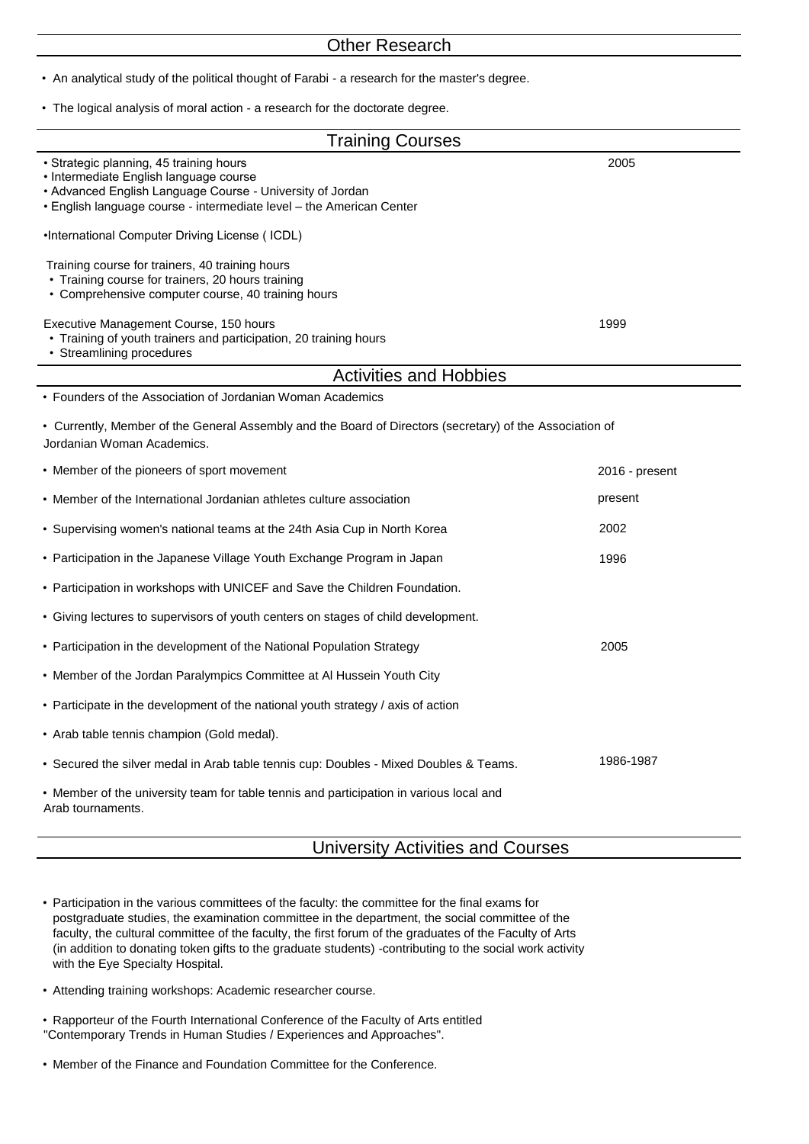- Other Research
- An analytical study of the political thought of Farabi a research for the master's degree.
- The logical analysis of moral action a research for the doctorate degree.

## Training Courses

| • Strategic planning, 45 training hours<br>• Intermediate English language course<br>• Advanced English Language Course - University of Jordan<br>• English language course - intermediate level - the American Center | 2005           |  |
|------------------------------------------------------------------------------------------------------------------------------------------------------------------------------------------------------------------------|----------------|--|
| •International Computer Driving License (ICDL)                                                                                                                                                                         |                |  |
| Training course for trainers, 40 training hours<br>• Training course for trainers, 20 hours training<br>• Comprehensive computer course, 40 training hours                                                             |                |  |
| Executive Management Course, 150 hours<br>• Training of youth trainers and participation, 20 training hours<br>• Streamlining procedures                                                                               | 1999           |  |
| <b>Activities and Hobbies</b>                                                                                                                                                                                          |                |  |
| • Founders of the Association of Jordanian Woman Academics                                                                                                                                                             |                |  |
| • Currently, Member of the General Assembly and the Board of Directors (secretary) of the Association of<br>Jordanian Woman Academics.                                                                                 |                |  |
| • Member of the pioneers of sport movement                                                                                                                                                                             | 2016 - present |  |
| • Member of the International Jordanian athletes culture association                                                                                                                                                   | present        |  |
| • Supervising women's national teams at the 24th Asia Cup in North Korea                                                                                                                                               | 2002           |  |
| • Participation in the Japanese Village Youth Exchange Program in Japan                                                                                                                                                | 1996           |  |
| • Participation in workshops with UNICEF and Save the Children Foundation.                                                                                                                                             |                |  |
| • Giving lectures to supervisors of youth centers on stages of child development.                                                                                                                                      |                |  |
| • Participation in the development of the National Population Strategy                                                                                                                                                 | 2005           |  |
| • Member of the Jordan Paralympics Committee at Al Hussein Youth City                                                                                                                                                  |                |  |
| • Participate in the development of the national youth strategy / axis of action                                                                                                                                       |                |  |
| • Arab table tennis champion (Gold medal).                                                                                                                                                                             |                |  |
| • Secured the silver medal in Arab table tennis cup: Doubles - Mixed Doubles & Teams.                                                                                                                                  | 1986-1987      |  |
| • Member of the university team for table tennis and participation in various local and<br>Arab tournaments.                                                                                                           |                |  |

## University Activities and Courses

- Participation in the various committees of the faculty: the committee for the final exams for postgraduate studies, the examination committee in the department, the social committee of the faculty, the cultural committee of the faculty, the first forum of the graduates of the Faculty of Arts (in addition to donating token gifts to the graduate students) -contributing to the social work activity with the Eye Specialty Hospital.
- Attending training workshops: Academic researcher course.
- Rapporteur of the Fourth International Conference of the Faculty of Arts entitled "Contemporary Trends in Human Studies / Experiences and Approaches".
- Member of the Finance and Foundation Committee for the Conference.